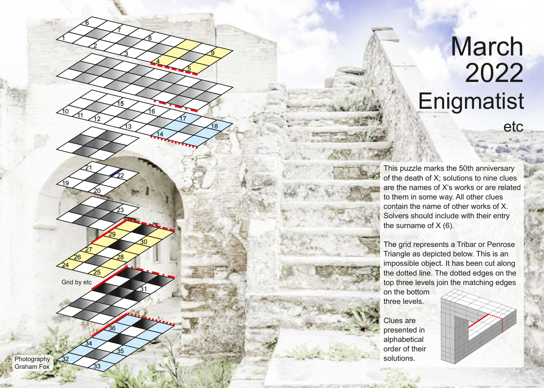## etc **Enigmatist** March 2022

This puzzle marks the 50th anniversary of the death of X; solutions to nine clues are the names of X's works or are related to them in some way. All other clues contain the name of other works of X. Solvers should include with their entry the surname of  $X(6)$ .

The grid represents a Tribar or Penrose Triangle as depicted below. This is an impossible object. It has been cut along the dotted line. The dotted edges on the top three levels join the matching edges

on the bottom three levels.

Clues are presented in alphabetical order of their Photography 32 Solutions.



The Man of the Man of the Man of the Man of the Man of the Man of the Man of the Man of the Man of the Man of the Man of the Man of the Man of the Man of the Man of the Man of the Man of the Man of the Man of the Man of th 27 26 24 25 Grid by etc 34

1

10

19

6

2

12

20

33

21

7

15

22

23

28

35

36

29

 $\overline{30}$ 

31

13

 $11$  12  $\bigtimes$  17

3

8

4

 $6 \overline{6}$ 

14

5

9

18

Graham Fox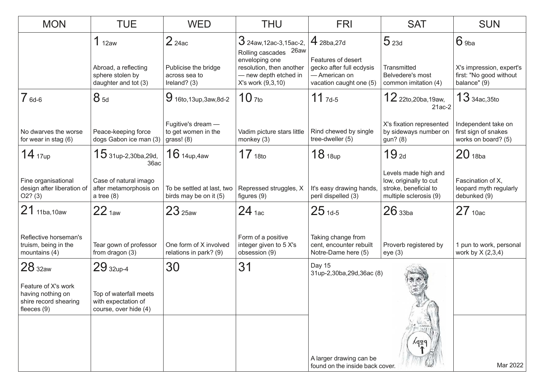| <b>MON</b>                                                                         | <b>TUE</b>                                                             | <b>WED</b>                                                | <b>THU</b>                                                                               | <b>FRI</b>                                                                                 | <b>SAT</b>                                                                                        | <b>SUN</b>                                                          |
|------------------------------------------------------------------------------------|------------------------------------------------------------------------|-----------------------------------------------------------|------------------------------------------------------------------------------------------|--------------------------------------------------------------------------------------------|---------------------------------------------------------------------------------------------------|---------------------------------------------------------------------|
|                                                                                    | 1 <sub>12aw</sub>                                                      | $2$ 24ac                                                  | $3$ 24aw, 12ac-3, 15ac-2,<br>Rolling cascades 26aw                                       | $4_{28ba,27d}$                                                                             | 5 <sub>23d</sub>                                                                                  | $6$ 9ba                                                             |
|                                                                                    | Abroad, a reflecting<br>sphere stolen by<br>daughter and tot (3)       | Publicise the bridge<br>across sea to<br>Ireland? $(3)$   | enveloping one<br>resolution, then another<br>- new depth etched in<br>X's work (9,3,10) | Features of desert<br>gecko after full ecdysis<br>- American on<br>vacation caught one (5) | Transmitted<br>Belvedere's most<br>common imitation (4)                                           | X's impression, expert's<br>first: "No good without<br>balance" (9) |
| $76d-6$                                                                            | $8_{5d}$                                                               | $9$ 16to, 13up, 3aw, 8d-2                                 | $10$ $7$ to                                                                              | $11$ $7d-5$                                                                                | 12 22to, 20ba, 19aw,<br>$21ac-2$                                                                  | $13$ 34ac, 35to                                                     |
| No dwarves the worse<br>for wear in stag (6)                                       | Peace-keeping force<br>dogs Gabon ice man (3)                          | Fugitive's dream -<br>to get women in the<br>grass! $(8)$ | Vadim picture stars little<br>monkey (3)                                                 | Rind chewed by single<br>tree-dweller (5)                                                  | X's fixation represented<br>by sideways number on<br>gun? (8)                                     | Independent take on<br>first sign of snakes<br>works on board? (5)  |
| 14 <sub>17up</sub>                                                                 | $15$ 31up-2,30ba,29d,<br>36ac                                          | $16$ 14up, 4aw                                            | 17 <sub>18to</sub>                                                                       | 18 <sub>18up</sub>                                                                         | 19 <sub>2d</sub>                                                                                  | $20$ 18ba                                                           |
| Fine organisational<br>design after liberation of<br>O2? (3)                       | Case of natural imago<br>after metamorphosis on<br>a tree $(8)$        | To be settled at last, two<br>birds may be on it (5)      | Repressed struggles, X<br>figures $(9)$                                                  | It's easy drawing hands,<br>peril dispelled (3)                                            | Levels made high and<br>low, originally to cut<br>stroke, beneficial to<br>multiple sclerosis (9) | Fascination of X,<br>leopard myth regularly<br>debunked (9)         |
| 21 11ba, 10aw                                                                      | 22 <sub>1aw</sub>                                                      | 23 <sub>25aw</sub>                                        | $24$ 1ac                                                                                 | $25_{1d-5}$                                                                                | 26 <sub>33ba</sub>                                                                                | $27$ 10ac                                                           |
| Reflective horseman's<br>truism, being in the<br>mountains (4)                     | Tear gown of professor<br>from dragon (3)                              | One form of X involved<br>relations in park? (9)          | Form of a positive<br>integer given to 5 X's<br>obsession (9)                            | Taking change from<br>cent, encounter rebuilt<br>Notre-Dame here (5)                       | Proverb registered by<br>eye(3)                                                                   | 1 pun to work, personal<br>work by $X(2,3,4)$                       |
| 28 <sub>32aw</sub>                                                                 | $29$ 32up-4                                                            | 30                                                        | 31                                                                                       | Day 15<br>31up-2,30ba,29d,36ac (8)                                                         |                                                                                                   |                                                                     |
| Feature of X's work<br>having nothing on<br>shire record shearing<br>fleeces $(9)$ | Top of waterfall meets<br>with expectation of<br>course, over hide (4) |                                                           |                                                                                          |                                                                                            |                                                                                                   |                                                                     |
|                                                                                    |                                                                        |                                                           |                                                                                          |                                                                                            | ydsc                                                                                              |                                                                     |
|                                                                                    |                                                                        |                                                           |                                                                                          | A larger drawing can be<br>found on the inside back cover.                                 |                                                                                                   | Mar 2022                                                            |